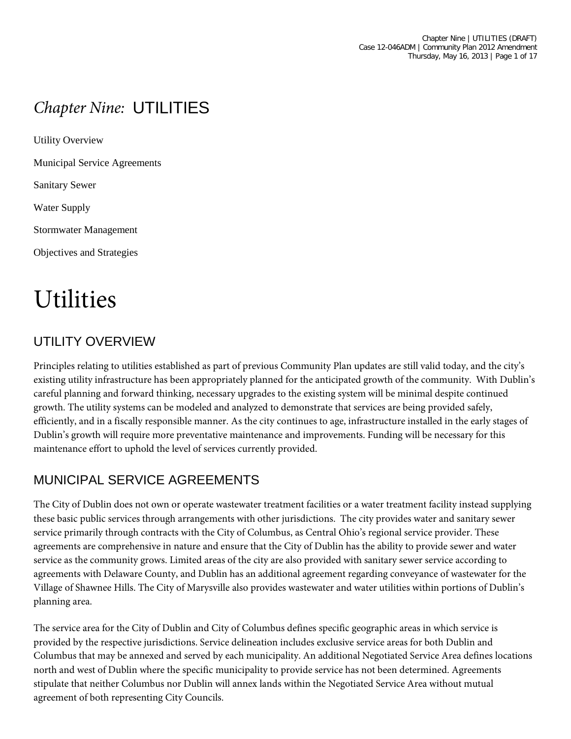# *Chapter Nine:* UTILITIES

Utility Overview Municipal Service Agreements Sanitary Sewer Water Supply Stormwater Management Objectives and Strategies

# Utilities

# UTILITY OVERVIEW

Principles relating to utilities established as part of previous Community Plan updates are still valid today, and the city's existing utility infrastructure has been appropriately planned for the anticipated growth of the community. With Dublin's careful planning and forward thinking, necessary upgrades to the existing system will be minimal despite continued growth. The utility systems can be modeled and analyzed to demonstrate that services are being provided safely, efficiently, and in a fiscally responsible manner. As the city continues to age, infrastructure installed in the early stages of Dublin's growth will require more preventative maintenance and improvements. Funding will be necessary for this maintenance effort to uphold the level of services currently provided.

# MUNICIPAL SERVICE AGREEMENTS

The City of Dublin does not own or operate wastewater treatment facilities or a water treatment facility instead supplying these basic public services through arrangements with other jurisdictions. The city provides water and sanitary sewer service primarily through contracts with the City of Columbus, as Central Ohio's regional service provider. These agreements are comprehensive in nature and ensure that the City of Dublin has the ability to provide sewer and water service as the community grows. Limited areas of the city are also provided with sanitary sewer service according to agreements with Delaware County, and Dublin has an additional agreement regarding conveyance of wastewater for the Village of Shawnee Hills. The City of Marysville also provides wastewater and water utilities within portions of Dublin's planning area.

The service area for the City of Dublin and City of Columbus defines specific geographic areas in which service is provided by the respective jurisdictions. Service delineation includes exclusive service areas for both Dublin and Columbus that may be annexed and served by each municipality. An additional Negotiated Service Area defines locations north and west of Dublin where the specific municipality to provide service has not been determined. Agreements stipulate that neither Columbus nor Dublin will annex lands within the Negotiated Service Area without mutual agreement of both representing City Councils.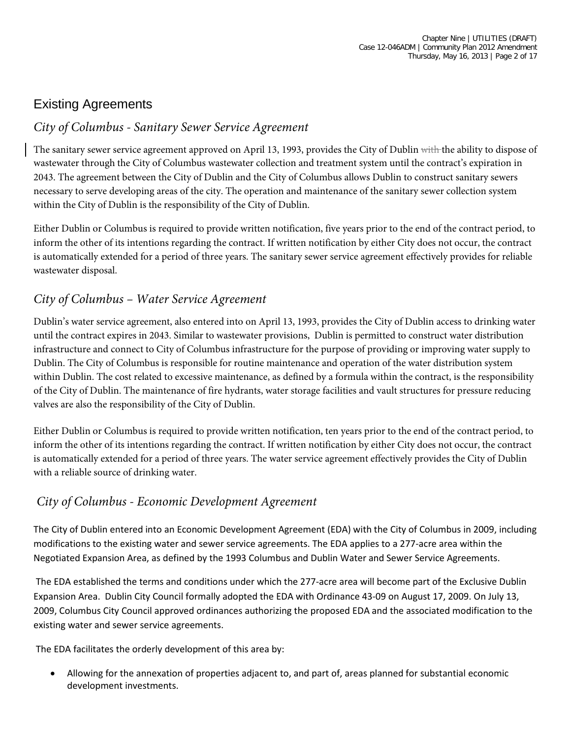# Existing Agreements

#### *City of Columbus - Sanitary Sewer Service Agreement*

The sanitary sewer service agreement approved on April 13, 1993, provides the City of Dublin with the ability to dispose of wastewater through the City of Columbus wastewater collection and treatment system until the contract's expiration in 2043. The agreement between the City of Dublin and the City of Columbus allows Dublin to construct sanitary sewers necessary to serve developing areas of the city. The operation and maintenance of the sanitary sewer collection system within the City of Dublin is the responsibility of the City of Dublin.

Either Dublin or Columbus is required to provide written notification, five years prior to the end of the contract period, to inform the other of its intentions regarding the contract. If written notification by either City does not occur, the contract is automatically extended for a period of three years. The sanitary sewer service agreement effectively provides for reliable wastewater disposal.

#### *City of Columbus – Water Service Agreement*

Dublin's water service agreement, also entered into on April 13, 1993, provides the City of Dublin access to drinking water until the contract expires in 2043. Similar to wastewater provisions, Dublin is permitted to construct water distribution infrastructure and connect to City of Columbus infrastructure for the purpose of providing or improving water supply to Dublin. The City of Columbus is responsible for routine maintenance and operation of the water distribution system within Dublin. The cost related to excessive maintenance, as defined by a formula within the contract, is the responsibility of the City of Dublin. The maintenance of fire hydrants, water storage facilities and vault structures for pressure reducing valves are also the responsibility of the City of Dublin.

Either Dublin or Columbus is required to provide written notification, ten years prior to the end of the contract period, to inform the other of its intentions regarding the contract. If written notification by either City does not occur, the contract is automatically extended for a period of three years. The water service agreement effectively provides the City of Dublin with a reliable source of drinking water.

#### *City of Columbus - Economic Development Agreement*

The City of Dublin entered into an Economic Development Agreement (EDA) with the City of Columbus in 2009, including modifications to the existing water and sewer service agreements. The EDA applies to a 277-acre area within the Negotiated Expansion Area, as defined by the 1993 Columbus and Dublin Water and Sewer Service Agreements.

The EDA established the terms and conditions under which the 277-acre area will become part of the Exclusive Dublin Expansion Area. Dublin City Council formally adopted the EDA with Ordinance 43-09 on August 17, 2009. On July 13, 2009, Columbus City Council approved ordinances authorizing the proposed EDA and the associated modification to the existing water and sewer service agreements.

The EDA facilitates the orderly development of this area by:

• Allowing for the annexation of properties adjacent to, and part of, areas planned for substantial economic development investments.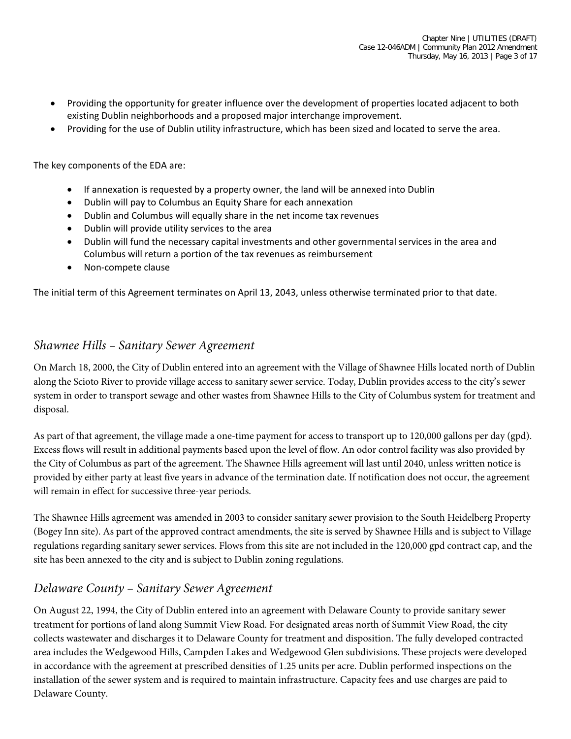- Providing the opportunity for greater influence over the development of properties located adjacent to both existing Dublin neighborhoods and a proposed major interchange improvement.
- Providing for the use of Dublin utility infrastructure, which has been sized and located to serve the area.

The key components of the EDA are:

- If annexation is requested by a property owner, the land will be annexed into Dublin
- Dublin will pay to Columbus an Equity Share for each annexation
- Dublin and Columbus will equally share in the net income tax revenues
- Dublin will provide utility services to the area
- Dublin will fund the necessary capital investments and other governmental services in the area and Columbus will return a portion of the tax revenues as reimbursement
- Non-compete clause

The initial term of this Agreement terminates on April 13, 2043, unless otherwise terminated prior to that date.

#### *Shawnee Hills – Sanitary Sewer Agreement*

On March 18, 2000, the City of Dublin entered into an agreement with the Village of Shawnee Hills located north of Dublin along the Scioto River to provide village access to sanitary sewer service. Today, Dublin provides access to the city's sewer system in order to transport sewage and other wastes from Shawnee Hills to the City of Columbus system for treatment and disposal.

As part of that agreement, the village made a one-time payment for access to transport up to 120,000 gallons per day (gpd). Excess flows will result in additional payments based upon the level of flow. An odor control facility was also provided by the City of Columbus as part of the agreement. The Shawnee Hills agreement will last until 2040, unless written notice is provided by either party at least five years in advance of the termination date. If notification does not occur, the agreement will remain in effect for successive three-year periods.

The Shawnee Hills agreement was amended in 2003 to consider sanitary sewer provision to the South Heidelberg Property (Bogey Inn site). As part of the approved contract amendments, the site is served by Shawnee Hills and is subject to Village regulations regarding sanitary sewer services. Flows from this site are not included in the 120,000 gpd contract cap, and the site has been annexed to the city and is subject to Dublin zoning regulations.

#### *Delaware County – Sanitary Sewer Agreement*

On August 22, 1994, the City of Dublin entered into an agreement with Delaware County to provide sanitary sewer treatment for portions of land along Summit View Road. For designated areas north of Summit View Road, the city collects wastewater and discharges it to Delaware County for treatment and disposition. The fully developed contracted area includes the Wedgewood Hills, Campden Lakes and Wedgewood Glen subdivisions. These projects were developed in accordance with the agreement at prescribed densities of 1.25 units per acre. Dublin performed inspections on the installation of the sewer system and is required to maintain infrastructure. Capacity fees and use charges are paid to Delaware County.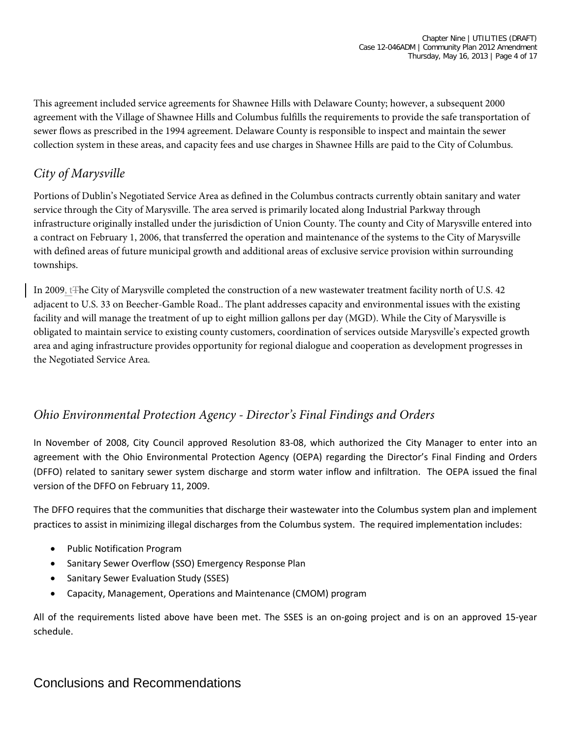This agreement included service agreements for Shawnee Hills with Delaware County; however, a subsequent 2000 agreement with the Village of Shawnee Hills and Columbus fulfills the requirements to provide the safe transportation of sewer flows as prescribed in the 1994 agreement. Delaware County is responsible to inspect and maintain the sewer collection system in these areas, and capacity fees and use charges in Shawnee Hills are paid to the City of Columbus.

# *City of Marysville*

Portions of Dublin's Negotiated Service Area as defined in the Columbus contracts currently obtain sanitary and water service through the City of Marysville. The area served is primarily located along Industrial Parkway through infrastructure originally installed under the jurisdiction of Union County. The county and City of Marysville entered into a contract on February 1, 2006, that transferred the operation and maintenance of the systems to the City of Marysville with defined areas of future municipal growth and additional areas of exclusive service provision within surrounding townships.

In 2009, t<sub>The</sub> City of Marysville completed the construction of a new wastewater treatment facility north of U.S. 42 adjacent to U.S. 33 on Beecher-Gamble Road.. The plant addresses capacity and environmental issues with the existing facility and will manage the treatment of up to eight million gallons per day (MGD). While the City of Marysville is obligated to maintain service to existing county customers, coordination of services outside Marysville's expected growth area and aging infrastructure provides opportunity for regional dialogue and cooperation as development progresses in the Negotiated Service Area.

#### *Ohio Environmental Protection Agency - Director's Final Findings and Orders*

In November of 2008, City Council approved Resolution 83-08, which authorized the City Manager to enter into an agreement with the Ohio Environmental Protection Agency (OEPA) regarding the Director's Final Finding and Orders (DFFO) related to sanitary sewer system discharge and storm water inflow and infiltration. The OEPA issued the final version of the DFFO on February 11, 2009.

The DFFO requires that the communities that discharge their wastewater into the Columbus system plan and implement practices to assist in minimizing illegal discharges from the Columbus system. The required implementation includes:

- Public Notification Program
- Sanitary Sewer Overflow (SSO) Emergency Response Plan
- Sanitary Sewer Evaluation Study (SSES)
- Capacity, Management, Operations and Maintenance (CMOM) program

All of the requirements listed above have been met. The SSES is an on-going project and is on an approved 15-year schedule.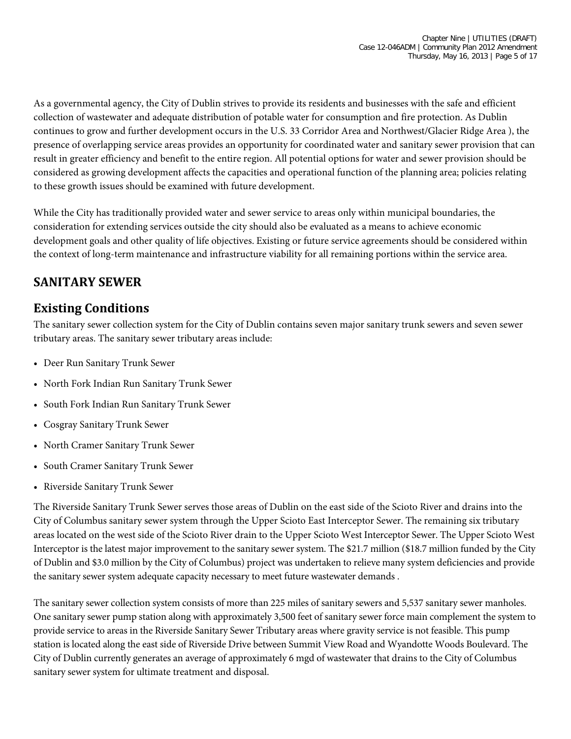As a governmental agency, the City of Dublin strives to provide its residents and businesses with the safe and efficient collection of wastewater and adequate distribution of potable water for consumption and fire protection. As Dublin continues to grow and further development occurs in the U.S. 33 Corridor Area and Northwest/Glacier Ridge Area ), the presence of overlapping service areas provides an opportunity for coordinated water and sanitary sewer provision that can result in greater efficiency and benefit to the entire region. All potential options for water and sewer provision should be considered as growing development affects the capacities and operational function of the planning area; policies relating to these growth issues should be examined with future development.

While the City has traditionally provided water and sewer service to areas only within municipal boundaries, the consideration for extending services outside the city should also be evaluated as a means to achieve economic development goals and other quality of life objectives. Existing or future service agreements should be considered within the context of long-term maintenance and infrastructure viability for all remaining portions within the service area.

# **SANITARY SEWER**

#### **Existing Conditions**

The sanitary sewer collection system for the City of Dublin contains seven major sanitary trunk sewers and seven sewer tributary areas. The sanitary sewer tributary areas include:

- Deer Run Sanitary Trunk Sewer
- North Fork Indian Run Sanitary Trunk Sewer
- South Fork Indian Run Sanitary Trunk Sewer
- Cosgray Sanitary Trunk Sewer
- North Cramer Sanitary Trunk Sewer
- South Cramer Sanitary Trunk Sewer
- Riverside Sanitary Trunk Sewer

The Riverside Sanitary Trunk Sewer serves those areas of Dublin on the east side of the Scioto River and drains into the City of Columbus sanitary sewer system through the Upper Scioto East Interceptor Sewer. The remaining six tributary areas located on the west side of the Scioto River drain to the Upper Scioto West Interceptor Sewer. The Upper Scioto West Interceptor is the latest major improvement to the sanitary sewer system. The \$21.7 million (\$18.7 million funded by the City of Dublin and \$3.0 million by the City of Columbus) project was undertaken to relieve many system deficiencies and provide the sanitary sewer system adequate capacity necessary to meet future wastewater demands .

The sanitary sewer collection system consists of more than 225 miles of sanitary sewers and 5,537 sanitary sewer manholes. One sanitary sewer pump station along with approximately 3,500 feet of sanitary sewer force main complement the system to provide service to areas in the Riverside Sanitary Sewer Tributary areas where gravity service is not feasible. This pump station is located along the east side of Riverside Drive between Summit View Road and Wyandotte Woods Boulevard. The City of Dublin currently generates an average of approximately 6 mgd of wastewater that drains to the City of Columbus sanitary sewer system for ultimate treatment and disposal.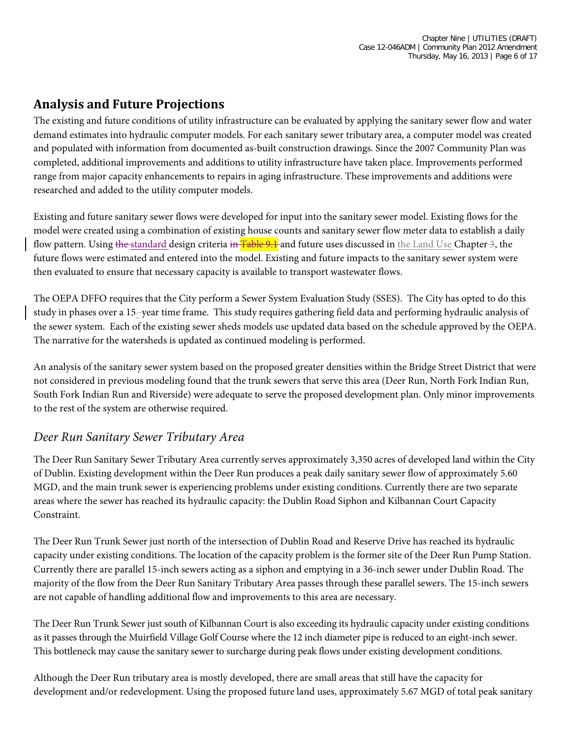# **Analysis and Future Projections**

The existing and future conditions of utility infrastructure can be evaluated by applying the sanitary sewer flow and water demand estimates into hydraulic computer models. For each sanitary sewer tributary area, a computer model was created and populated with information from documented as-built construction drawings. Since the 2007 Community Plan was completed, additional improvements and additions to utility infrastructure have taken place. Improvements performed range from major capacity enhancements to repairs in aging infrastructure. These improvements and additions were researched and added to the utility computer models.

Existing and future sanitary sewer flows were developed for input into the sanitary sewer model. Existing flows for the model were created using a combination of existing house counts and sanitary sewer flow meter data to establish a daily flow pattern. Using the standard design criteria in Table 9.1 and future uses discussed in the Land Use Chapter  $-3$ , the future flows were estimated and entered into the model. Existing and future impacts to the sanitary sewer system were then evaluated to ensure that necessary capacity is available to transport wastewater flows.

The OEPA DFFO requires that the City perform a Sewer System Evaluation Study (SSES). The City has opted to do this study in phases over a 15- year time frame. This study requires gathering field data and performing hydraulic analysis of the sewer system. Each of the existing sewer sheds models use updated data based on the schedule approved by the OEPA. The narrative for the watersheds is updated as continued modeling is performed.

An analysis of the sanitary sewer system based on the proposed greater densities within the Bridge Street District that were not considered in previous modeling found that the trunk sewers that serve this area (Deer Run, North Fork Indian Run, South Fork Indian Run and Riverside) were adequate to serve the proposed development plan. Only minor improvements to the rest of the system are otherwise required.

#### *Deer Run Sanitary Sewer Tributary Area*

The Deer Run Sanitary Sewer Tributary Area currently serves approximately 3,350 acres of developed land within the City of Dublin. Existing development within the Deer Run produces a peak daily sanitary sewer flow of approximately 5.60 MGD, and the main trunk sewer is experiencing problems under existing conditions. Currently there are two separate areas where the sewer has reached its hydraulic capacity: the Dublin Road Siphon and Kilbannan Court Capacity Constraint.

The Deer Run Trunk Sewer just north of the intersection of Dublin Road and Reserve Drive has reached its hydraulic capacity under existing conditions. The location of the capacity problem is the former site of the Deer Run Pump Station. Currently there are parallel 15-inch sewers acting as a siphon and emptying in a 36-inch sewer under Dublin Road. The majority of the flow from the Deer Run Sanitary Tributary Area passes through these parallel sewers. The 15-inch sewers are not capable of handling additional flow and improvements to this area are necessary.

The Deer Run Trunk Sewer just south of Kilbannan Court is also exceeding its hydraulic capacity under existing conditions as it passes through the Muirfield Village Golf Course where the 12 inch diameter pipe is reduced to an eight-inch sewer. This bottleneck may cause the sanitary sewer to surcharge during peak flows under existing development conditions.

Although the Deer Run tributary area is mostly developed, there are small areas that still have the capacity for development and/or redevelopment. Using the proposed future land uses, approximately 5.67 MGD of total peak sanitary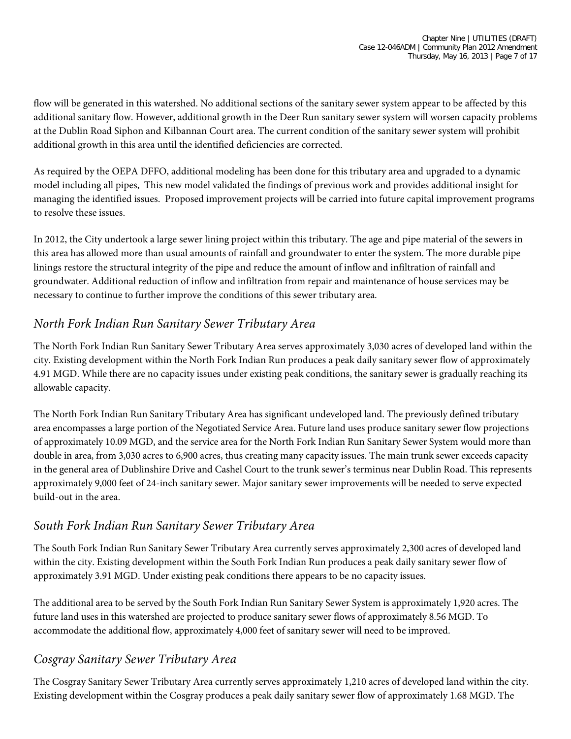flow will be generated in this watershed. No additional sections of the sanitary sewer system appear to be affected by this additional sanitary flow. However, additional growth in the Deer Run sanitary sewer system will worsen capacity problems at the Dublin Road Siphon and Kilbannan Court area. The current condition of the sanitary sewer system will prohibit additional growth in this area until the identified deficiencies are corrected.

As required by the OEPA DFFO, additional modeling has been done for this tributary area and upgraded to a dynamic model including all pipes, This new model validated the findings of previous work and provides additional insight for managing the identified issues. Proposed improvement projects will be carried into future capital improvement programs to resolve these issues.

In 2012, the City undertook a large sewer lining project within this tributary. The age and pipe material of the sewers in this area has allowed more than usual amounts of rainfall and groundwater to enter the system. The more durable pipe linings restore the structural integrity of the pipe and reduce the amount of inflow and infiltration of rainfall and groundwater. Additional reduction of inflow and infiltration from repair and maintenance of house services may be necessary to continue to further improve the conditions of this sewer tributary area.

#### *North Fork Indian Run Sanitary Sewer Tributary Area*

The North Fork Indian Run Sanitary Sewer Tributary Area serves approximately 3,030 acres of developed land within the city. Existing development within the North Fork Indian Run produces a peak daily sanitary sewer flow of approximately 4.91 MGD. While there are no capacity issues under existing peak conditions, the sanitary sewer is gradually reaching its allowable capacity.

The North Fork Indian Run Sanitary Tributary Area has significant undeveloped land. The previously defined tributary area encompasses a large portion of the Negotiated Service Area. Future land uses produce sanitary sewer flow projections of approximately 10.09 MGD, and the service area for the North Fork Indian Run Sanitary Sewer System would more than double in area, from 3,030 acres to 6,900 acres, thus creating many capacity issues. The main trunk sewer exceeds capacity in the general area of Dublinshire Drive and Cashel Court to the trunk sewer's terminus near Dublin Road. This represents approximately 9,000 feet of 24-inch sanitary sewer. Major sanitary sewer improvements will be needed to serve expected build-out in the area.

#### *South Fork Indian Run Sanitary Sewer Tributary Area*

The South Fork Indian Run Sanitary Sewer Tributary Area currently serves approximately 2,300 acres of developed land within the city. Existing development within the South Fork Indian Run produces a peak daily sanitary sewer flow of approximately 3.91 MGD. Under existing peak conditions there appears to be no capacity issues.

The additional area to be served by the South Fork Indian Run Sanitary Sewer System is approximately 1,920 acres. The future land uses in this watershed are projected to produce sanitary sewer flows of approximately 8.56 MGD. To accommodate the additional flow, approximately 4,000 feet of sanitary sewer will need to be improved.

#### *Cosgray Sanitary Sewer Tributary Area*

The Cosgray Sanitary Sewer Tributary Area currently serves approximately 1,210 acres of developed land within the city. Existing development within the Cosgray produces a peak daily sanitary sewer flow of approximately 1.68 MGD. The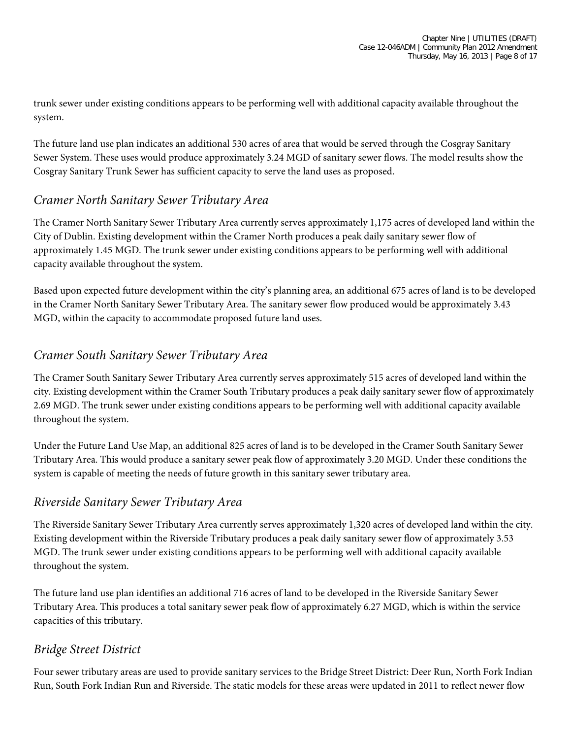trunk sewer under existing conditions appears to be performing well with additional capacity available throughout the system.

The future land use plan indicates an additional 530 acres of area that would be served through the Cosgray Sanitary Sewer System. These uses would produce approximately 3.24 MGD of sanitary sewer flows. The model results show the Cosgray Sanitary Trunk Sewer has sufficient capacity to serve the land uses as proposed.

#### *Cramer North Sanitary Sewer Tributary Area*

The Cramer North Sanitary Sewer Tributary Area currently serves approximately 1,175 acres of developed land within the City of Dublin. Existing development within the Cramer North produces a peak daily sanitary sewer flow of approximately 1.45 MGD. The trunk sewer under existing conditions appears to be performing well with additional capacity available throughout the system.

Based upon expected future development within the city's planning area, an additional 675 acres of land is to be developed in the Cramer North Sanitary Sewer Tributary Area. The sanitary sewer flow produced would be approximately 3.43 MGD, within the capacity to accommodate proposed future land uses.

# *Cramer South Sanitary Sewer Tributary Area*

The Cramer South Sanitary Sewer Tributary Area currently serves approximately 515 acres of developed land within the city. Existing development within the Cramer South Tributary produces a peak daily sanitary sewer flow of approximately 2.69 MGD. The trunk sewer under existing conditions appears to be performing well with additional capacity available throughout the system.

Under the Future Land Use Map, an additional 825 acres of land is to be developed in the Cramer South Sanitary Sewer Tributary Area. This would produce a sanitary sewer peak flow of approximately 3.20 MGD. Under these conditions the system is capable of meeting the needs of future growth in this sanitary sewer tributary area.

#### *Riverside Sanitary Sewer Tributary Area*

The Riverside Sanitary Sewer Tributary Area currently serves approximately 1,320 acres of developed land within the city. Existing development within the Riverside Tributary produces a peak daily sanitary sewer flow of approximately 3.53 MGD. The trunk sewer under existing conditions appears to be performing well with additional capacity available throughout the system.

The future land use plan identifies an additional 716 acres of land to be developed in the Riverside Sanitary Sewer Tributary Area. This produces a total sanitary sewer peak flow of approximately 6.27 MGD, which is within the service capacities of this tributary.

#### *Bridge Street District*

Four sewer tributary areas are used to provide sanitary services to the Bridge Street District: Deer Run, North Fork Indian Run, South Fork Indian Run and Riverside. The static models for these areas were updated in 2011 to reflect newer flow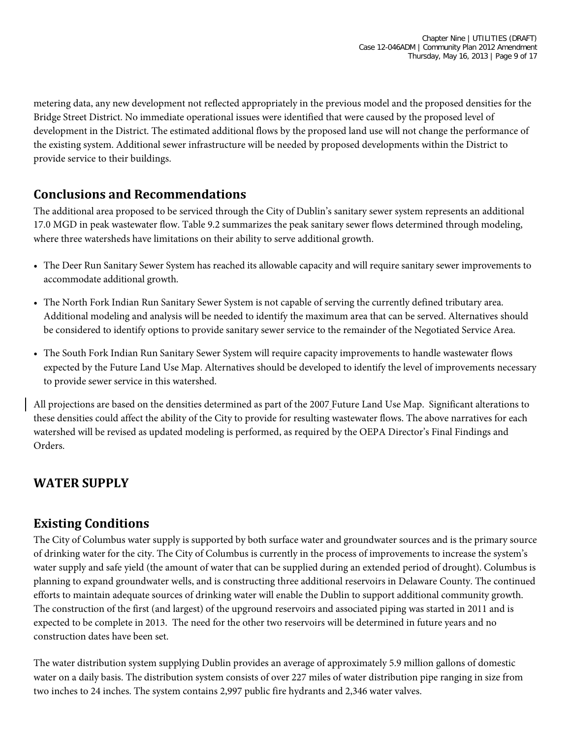metering data, any new development not reflected appropriately in the previous model and the proposed densities for the Bridge Street District. No immediate operational issues were identified that were caused by the proposed level of development in the District. The estimated additional flows by the proposed land use will not change the performance of the existing system. Additional sewer infrastructure will be needed by proposed developments within the District to provide service to their buildings.

# **Conclusions and Recommendations**

The additional area proposed to be serviced through the City of Dublin's sanitary sewer system represents an additional 17.0 MGD in peak wastewater flow. Table 9.2 summarizes the peak sanitary sewer flows determined through modeling, where three watersheds have limitations on their ability to serve additional growth.

- The Deer Run Sanitary Sewer System has reached its allowable capacity and will require sanitary sewer improvements to accommodate additional growth.
- The North Fork Indian Run Sanitary Sewer System is not capable of serving the currently defined tributary area. Additional modeling and analysis will be needed to identify the maximum area that can be served. Alternatives should be considered to identify options to provide sanitary sewer service to the remainder of the Negotiated Service Area.
- The South Fork Indian Run Sanitary Sewer System will require capacity improvements to handle wastewater flows expected by the Future Land Use Map. Alternatives should be developed to identify the level of improvements necessary to provide sewer service in this watershed.

All projections are based on the densities determined as part of the 2007 Future Land Use Map. Significant alterations to these densities could affect the ability of the City to provide for resulting wastewater flows. The above narratives for each watershed will be revised as updated modeling is performed, as required by the OEPA Director's Final Findings and Orders.

# **WATER SUPPLY**

#### **Existing Conditions**

The City of Columbus water supply is supported by both surface water and groundwater sources and is the primary source of drinking water for the city. The City of Columbus is currently in the process of improvements to increase the system's water supply and safe yield (the amount of water that can be supplied during an extended period of drought). Columbus is planning to expand groundwater wells, and is constructing three additional reservoirs in Delaware County. The continued efforts to maintain adequate sources of drinking water will enable the Dublin to support additional community growth. The construction of the first (and largest) of the upground reservoirs and associated piping was started in 2011 and is expected to be complete in 2013. The need for the other two reservoirs will be determined in future years and no construction dates have been set.

The water distribution system supplying Dublin provides an average of approximately 5.9 million gallons of domestic water on a daily basis. The distribution system consists of over 227 miles of water distribution pipe ranging in size from two inches to 24 inches. The system contains 2,997 public fire hydrants and 2,346 water valves.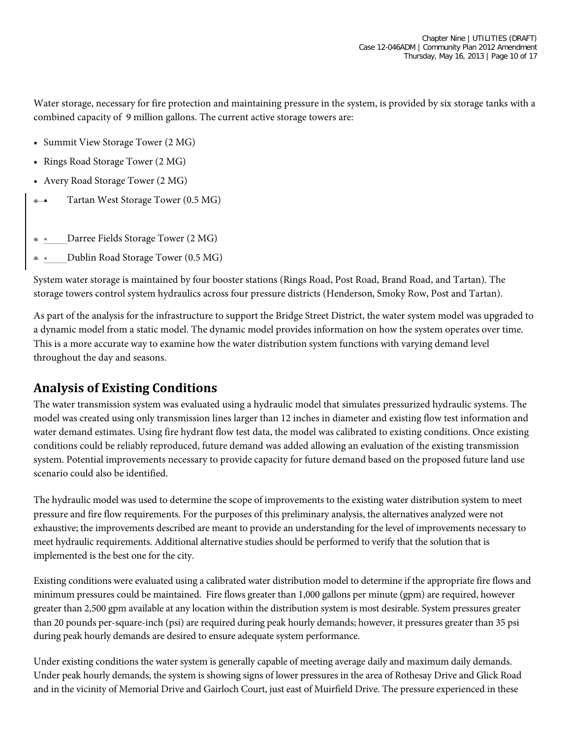Water storage, necessary for fire protection and maintaining pressure in the system, is provided by six storage tanks with a combined capacity of 9 million gallons. The current active storage towers are:

- Summit View Storage Tower (2 MG)
- Rings Road Storage Tower (2 MG)
- Avery Road Storage Tower (2 MG)
- Tartan West Storage Tower (0.5 MG)
- Darree Fields Storage Tower (2 MG)
- • Dublin Road Storage Tower (0.5 MG)

System water storage is maintained by four booster stations (Rings Road, Post Road, Brand Road, and Tartan). The storage towers control system hydraulics across four pressure districts (Henderson, Smoky Row, Post and Tartan).

As part of the analysis for the infrastructure to support the Bridge Street District, the water system model was upgraded to a dynamic model from a static model. The dynamic model provides information on how the system operates over time. This is a more accurate way to examine how the water distribution system functions with varying demand level throughout the day and seasons.

#### **Analysis of Existing Conditions**

The water transmission system was evaluated using a hydraulic model that simulates pressurized hydraulic systems. The model was created using only transmission lines larger than 12 inches in diameter and existing flow test information and water demand estimates. Using fire hydrant flow test data, the model was calibrated to existing conditions. Once existing conditions could be reliably reproduced, future demand was added allowing an evaluation of the existing transmission system. Potential improvements necessary to provide capacity for future demand based on the proposed future land use scenario could also be identified.

The hydraulic model was used to determine the scope of improvements to the existing water distribution system to meet pressure and fire flow requirements. For the purposes of this preliminary analysis, the alternatives analyzed were not exhaustive; the improvements described are meant to provide an understanding for the level of improvements necessary to meet hydraulic requirements. Additional alternative studies should be performed to verify that the solution that is implemented is the best one for the city.

Existing conditions were evaluated using a calibrated water distribution model to determine if the appropriate fire flows and minimum pressures could be maintained. Fire flows greater than 1,000 gallons per minute (gpm) are required, however greater than 2,500 gpm available at any location within the distribution system is most desirable. System pressures greater than 20 pounds per-square-inch (psi) are required during peak hourly demands; however, it pressures greater than 35 psi during peak hourly demands are desired to ensure adequate system performance.

Under existing conditions the water system is generally capable of meeting average daily and maximum daily demands. Under peak hourly demands, the system is showing signs of lower pressures in the area of Rothesay Drive and Glick Road and in the vicinity of Memorial Drive and Gairloch Court, just east of Muirfield Drive. The pressure experienced in these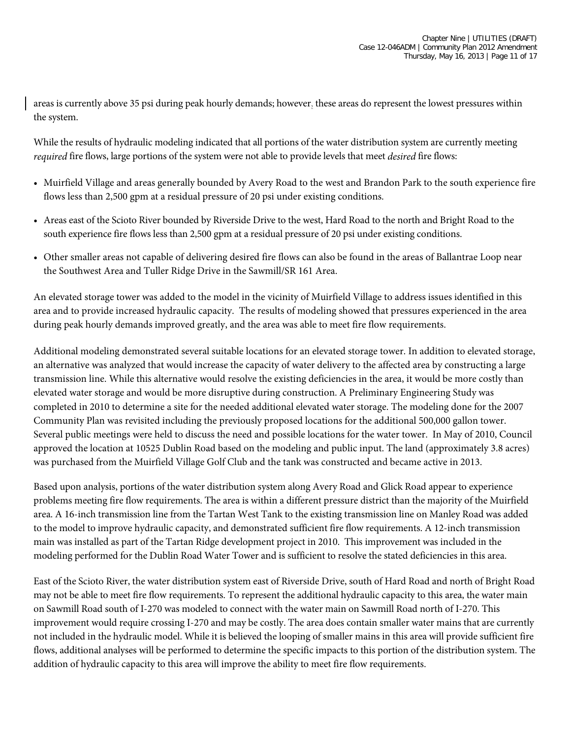areas is currently above 35 psi during peak hourly demands; however, these areas do represent the lowest pressures within the system.

While the results of hydraulic modeling indicated that all portions of the water distribution system are currently meeting *required* fire flows, large portions of the system were not able to provide levels that meet *desired* fire flows:

- Muirfield Village and areas generally bounded by Avery Road to the west and Brandon Park to the south experience fire flows less than 2,500 gpm at a residual pressure of 20 psi under existing conditions.
- Areas east of the Scioto River bounded by Riverside Drive to the west, Hard Road to the north and Bright Road to the south experience fire flows less than 2,500 gpm at a residual pressure of 20 psi under existing conditions.
- Other smaller areas not capable of delivering desired fire flows can also be found in the areas of Ballantrae Loop near the Southwest Area and Tuller Ridge Drive in the Sawmill/SR 161 Area.

An elevated storage tower was added to the model in the vicinity of Muirfield Village to address issues identified in this area and to provide increased hydraulic capacity. The results of modeling showed that pressures experienced in the area during peak hourly demands improved greatly, and the area was able to meet fire flow requirements.

Additional modeling demonstrated several suitable locations for an elevated storage tower. In addition to elevated storage, an alternative was analyzed that would increase the capacity of water delivery to the affected area by constructing a large transmission line. While this alternative would resolve the existing deficiencies in the area, it would be more costly than elevated water storage and would be more disruptive during construction. A Preliminary Engineering Study was completed in 2010 to determine a site for the needed additional elevated water storage. The modeling done for the 2007 Community Plan was revisited including the previously proposed locations for the additional 500,000 gallon tower. Several public meetings were held to discuss the need and possible locations for the water tower. In May of 2010, Council approved the location at 10525 Dublin Road based on the modeling and public input. The land (approximately 3.8 acres) was purchased from the Muirfield Village Golf Club and the tank was constructed and became active in 2013.

Based upon analysis, portions of the water distribution system along Avery Road and Glick Road appear to experience problems meeting fire flow requirements. The area is within a different pressure district than the majority of the Muirfield area. A 16-inch transmission line from the Tartan West Tank to the existing transmission line on Manley Road was added to the model to improve hydraulic capacity, and demonstrated sufficient fire flow requirements. A 12-inch transmission main was installed as part of the Tartan Ridge development project in 2010. This improvement was included in the modeling performed for the Dublin Road Water Tower and is sufficient to resolve the stated deficiencies in this area.

East of the Scioto River, the water distribution system east of Riverside Drive, south of Hard Road and north of Bright Road may not be able to meet fire flow requirements. To represent the additional hydraulic capacity to this area, the water main on Sawmill Road south of I-270 was modeled to connect with the water main on Sawmill Road north of I-270. This improvement would require crossing I-270 and may be costly. The area does contain smaller water mains that are currently not included in the hydraulic model. While it is believed the looping of smaller mains in this area will provide sufficient fire flows, additional analyses will be performed to determine the specific impacts to this portion of the distribution system. The addition of hydraulic capacity to this area will improve the ability to meet fire flow requirements.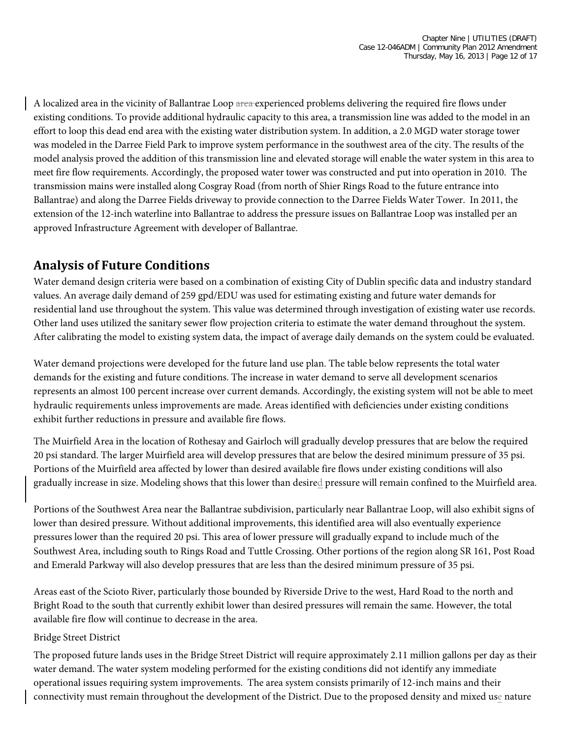A localized area in the vicinity of Ballantrae Loop area experienced problems delivering the required fire flows under existing conditions. To provide additional hydraulic capacity to this area, a transmission line was added to the model in an effort to loop this dead end area with the existing water distribution system. In addition, a 2.0 MGD water storage tower was modeled in the Darree Field Park to improve system performance in the southwest area of the city. The results of the model analysis proved the addition of this transmission line and elevated storage will enable the water system in this area to meet fire flow requirements. Accordingly, the proposed water tower was constructed and put into operation in 2010. The transmission mains were installed along Cosgray Road (from north of Shier Rings Road to the future entrance into Ballantrae) and along the Darree Fields driveway to provide connection to the Darree Fields Water Tower. In 2011, the extension of the 12-inch waterline into Ballantrae to address the pressure issues on Ballantrae Loop was installed per an approved Infrastructure Agreement with developer of Ballantrae.

# **Analysis of Future Conditions**

Water demand design criteria were based on a combination of existing City of Dublin specific data and industry standard values. An average daily demand of 259 gpd/EDU was used for estimating existing and future water demands for residential land use throughout the system. This value was determined through investigation of existing water use records. Other land uses utilized the sanitary sewer flow projection criteria to estimate the water demand throughout the system. After calibrating the model to existing system data, the impact of average daily demands on the system could be evaluated.

Water demand projections were developed for the future land use plan. The table below represents the total water demands for the existing and future conditions. The increase in water demand to serve all development scenarios represents an almost 100 percent increase over current demands. Accordingly, the existing system will not be able to meet hydraulic requirements unless improvements are made. Areas identified with deficiencies under existing conditions exhibit further reductions in pressure and available fire flows.

The Muirfield Area in the location of Rothesay and Gairloch will gradually develop pressures that are below the required 20 psi standard. The larger Muirfield area will develop pressures that are below the desired minimum pressure of 35 psi. Portions of the Muirfield area affected by lower than desired available fire flows under existing conditions will also gradually increase in size. Modeling shows that this lower than desired pressure will remain confined to the Muirfield area.

Portions of the Southwest Area near the Ballantrae subdivision, particularly near Ballantrae Loop, will also exhibit signs of lower than desired pressure. Without additional improvements, this identified area will also eventually experience pressures lower than the required 20 psi. This area of lower pressure will gradually expand to include much of the Southwest Area, including south to Rings Road and Tuttle Crossing. Other portions of the region along SR 161, Post Road and Emerald Parkway will also develop pressures that are less than the desired minimum pressure of 35 psi.

Areas east of the Scioto River, particularly those bounded by Riverside Drive to the west, Hard Road to the north and Bright Road to the south that currently exhibit lower than desired pressures will remain the same. However, the total available fire flow will continue to decrease in the area.

#### Bridge Street District

The proposed future lands uses in the Bridge Street District will require approximately 2.11 million gallons per day as their water demand. The water system modeling performed for the existing conditions did not identify any immediate operational issues requiring system improvements. The area system consists primarily of 12-inch mains and their connectivity must remain throughout the development of the District. Due to the proposed density and mixed use nature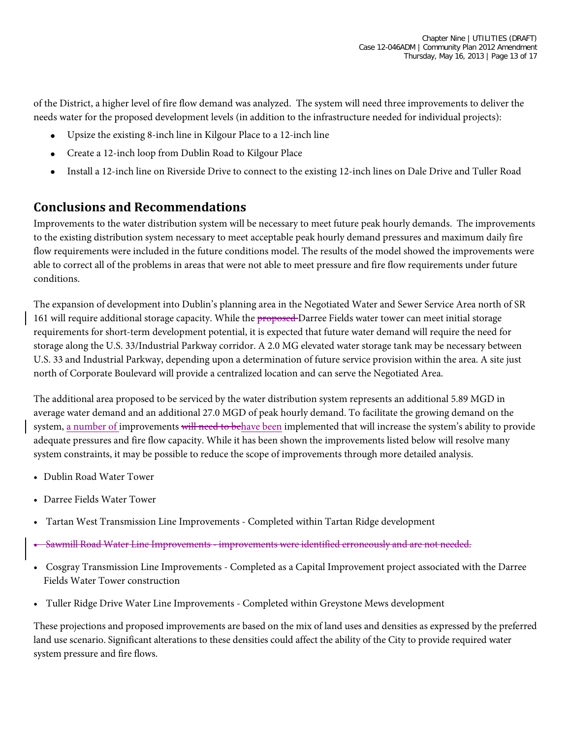of the District, a higher level of fire flow demand was analyzed. The system will need three improvements to deliver the needs water for the proposed development levels (in addition to the infrastructure needed for individual projects):

- Upsize the existing 8-inch line in Kilgour Place to a 12-inch line
- Create a 12-inch loop from Dublin Road to Kilgour Place
- Install a 12-inch line on Riverside Drive to connect to the existing 12-inch lines on Dale Drive and Tuller Road

#### **Conclusions and Recommendations**

Improvements to the water distribution system will be necessary to meet future peak hourly demands. The improvements to the existing distribution system necessary to meet acceptable peak hourly demand pressures and maximum daily fire flow requirements were included in the future conditions model. The results of the model showed the improvements were able to correct all of the problems in areas that were not able to meet pressure and fire flow requirements under future conditions.

The expansion of development into Dublin's planning area in the Negotiated Water and Sewer Service Area north of SR 161 will require additional storage capacity. While the proposed Darree Fields water tower can meet initial storage requirements for short-term development potential, it is expected that future water demand will require the need for storage along the U.S. 33/Industrial Parkway corridor. A 2.0 MG elevated water storage tank may be necessary between U.S. 33 and Industrial Parkway, depending upon a determination of future service provision within the area. A site just north of Corporate Boulevard will provide a centralized location and can serve the Negotiated Area.

The additional area proposed to be serviced by the water distribution system represents an additional 5.89 MGD in average water demand and an additional 27.0 MGD of peak hourly demand. To facilitate the growing demand on the system, a number of improvements will need to behave been implemented that will increase the system's ability to provide adequate pressures and fire flow capacity. While it has been shown the improvements listed below will resolve many system constraints, it may be possible to reduce the scope of improvements through more detailed analysis.

- Dublin Road Water Tower
- Darree Fields Water Tower
- Tartan West Transmission Line Improvements Completed within Tartan Ridge development
- Sawmill Road Water Line Improvements improvements were identified erroneously and are not needed.
- Cosgray Transmission Line Improvements Completed as a Capital Improvement project associated with the Darree Fields Water Tower construction
- Tuller Ridge Drive Water Line Improvements Completed within Greystone Mews development

These projections and proposed improvements are based on the mix of land uses and densities as expressed by the preferred land use scenario. Significant alterations to these densities could affect the ability of the City to provide required water system pressure and fire flows.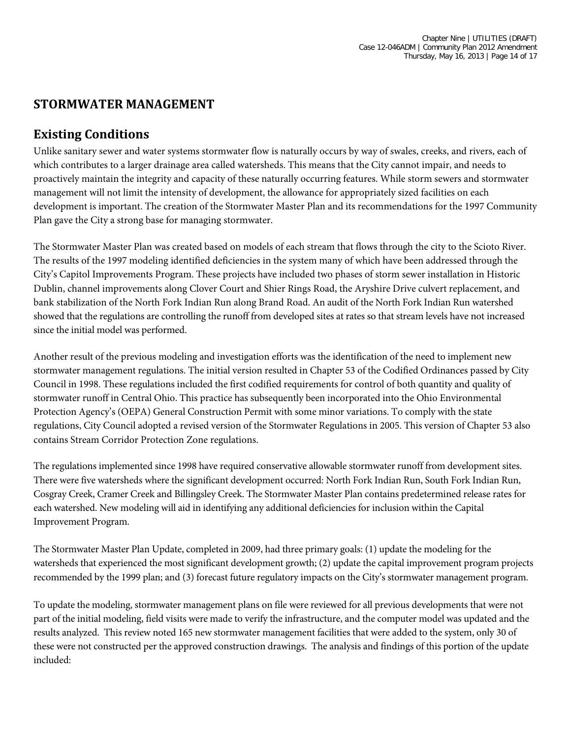### **STORMWATER MANAGEMENT**

#### **Existing Conditions**

Unlike sanitary sewer and water systems stormwater flow is naturally occurs by way of swales, creeks, and rivers, each of which contributes to a larger drainage area called watersheds. This means that the City cannot impair, and needs to proactively maintain the integrity and capacity of these naturally occurring features. While storm sewers and stormwater management will not limit the intensity of development, the allowance for appropriately sized facilities on each development is important. The creation of the Stormwater Master Plan and its recommendations for the 1997 Community Plan gave the City a strong base for managing stormwater.

The Stormwater Master Plan was created based on models of each stream that flows through the city to the Scioto River. The results of the 1997 modeling identified deficiencies in the system many of which have been addressed through the City's Capitol Improvements Program. These projects have included two phases of storm sewer installation in Historic Dublin, channel improvements along Clover Court and Shier Rings Road, the Aryshire Drive culvert replacement, and bank stabilization of the North Fork Indian Run along Brand Road. An audit of the North Fork Indian Run watershed showed that the regulations are controlling the runoff from developed sites at rates so that stream levels have not increased since the initial model was performed.

Another result of the previous modeling and investigation efforts was the identification of the need to implement new stormwater management regulations. The initial version resulted in Chapter 53 of the Codified Ordinances passed by City Council in 1998. These regulations included the first codified requirements for control of both quantity and quality of stormwater runoff in Central Ohio. This practice has subsequently been incorporated into the Ohio Environmental Protection Agency's (OEPA) General Construction Permit with some minor variations. To comply with the state regulations, City Council adopted a revised version of the Stormwater Regulations in 2005. This version of Chapter 53 also contains Stream Corridor Protection Zone regulations.

The regulations implemented since 1998 have required conservative allowable stormwater runoff from development sites. There were five watersheds where the significant development occurred: North Fork Indian Run, South Fork Indian Run, Cosgray Creek, Cramer Creek and Billingsley Creek. The Stormwater Master Plan contains predetermined release rates for each watershed. New modeling will aid in identifying any additional deficiencies for inclusion within the Capital Improvement Program.

The Stormwater Master Plan Update, completed in 2009, had three primary goals: (1) update the modeling for the watersheds that experienced the most significant development growth; (2) update the capital improvement program projects recommended by the 1999 plan; and (3) forecast future regulatory impacts on the City's stormwater management program.

To update the modeling, stormwater management plans on file were reviewed for all previous developments that were not part of the initial modeling, field visits were made to verify the infrastructure, and the computer model was updated and the results analyzed. This review noted 165 new stormwater management facilities that were added to the system, only 30 of these were not constructed per the approved construction drawings. The analysis and findings of this portion of the update included: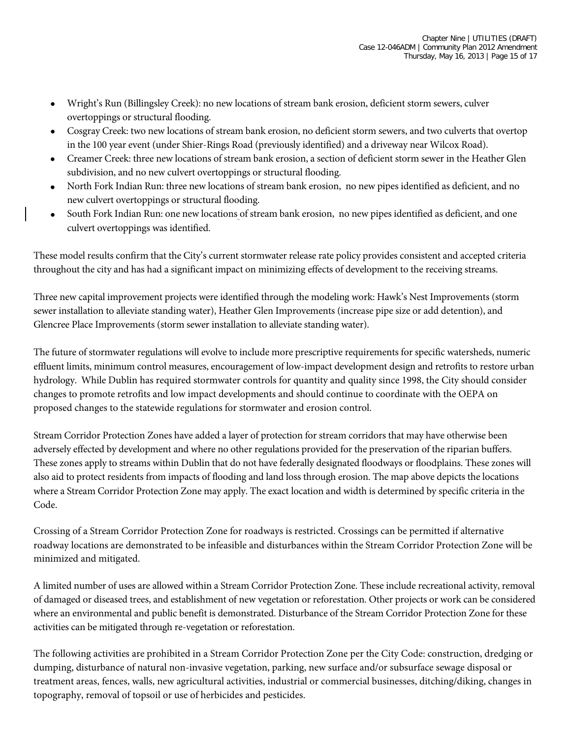- Wright's Run (Billingsley Creek): no new locations of stream bank erosion, deficient storm sewers, culver overtoppings or structural flooding.
- Cosgray Creek: two new locations of stream bank erosion, no deficient storm sewers, and two culverts that overtop in the 100 year event (under Shier-Rings Road (previously identified) and a driveway near Wilcox Road).
- Creamer Creek: three new locations of stream bank erosion, a section of deficient storm sewer in the Heather Glen subdivision, and no new culvert overtoppings or structural flooding.
- North Fork Indian Run: three new locations of stream bank erosion, no new pipes identified as deficient, and no new culvert overtoppings or structural flooding.
- South Fork Indian Run: one new locations of stream bank erosion, no new pipes identified as deficient, and one culvert overtoppings was identified.

These model results confirm that the City's current stormwater release rate policy provides consistent and accepted criteria throughout the city and has had a significant impact on minimizing effects of development to the receiving streams.

Three new capital improvement projects were identified through the modeling work: Hawk's Nest Improvements (storm sewer installation to alleviate standing water), Heather Glen Improvements (increase pipe size or add detention), and Glencree Place Improvements (storm sewer installation to alleviate standing water).

The future of stormwater regulations will evolve to include more prescriptive requirements for specific watersheds, numeric effluent limits, minimum control measures, encouragement of low-impact development design and retrofits to restore urban hydrology. While Dublin has required stormwater controls for quantity and quality since 1998, the City should consider changes to promote retrofits and low impact developments and should continue to coordinate with the OEPA on proposed changes to the statewide regulations for stormwater and erosion control.

Stream Corridor Protection Zones have added a layer of protection for stream corridors that may have otherwise been adversely effected by development and where no other regulations provided for the preservation of the riparian buffers. These zones apply to streams within Dublin that do not have federally designated floodways or floodplains. These zones will also aid to protect residents from impacts of flooding and land loss through erosion. The map above depicts the locations where a Stream Corridor Protection Zone may apply. The exact location and width is determined by specific criteria in the Code.

Crossing of a Stream Corridor Protection Zone for roadways is restricted. Crossings can be permitted if alternative roadway locations are demonstrated to be infeasible and disturbances within the Stream Corridor Protection Zone will be minimized and mitigated.

A limited number of uses are allowed within a Stream Corridor Protection Zone. These include recreational activity, removal of damaged or diseased trees, and establishment of new vegetation or reforestation. Other projects or work can be considered where an environmental and public benefit is demonstrated. Disturbance of the Stream Corridor Protection Zone for these activities can be mitigated through re-vegetation or reforestation.

The following activities are prohibited in a Stream Corridor Protection Zone per the City Code: construction, dredging or dumping, disturbance of natural non-invasive vegetation, parking, new surface and/or subsurface sewage disposal or treatment areas, fences, walls, new agricultural activities, industrial or commercial businesses, ditching/diking, changes in topography, removal of topsoil or use of herbicides and pesticides.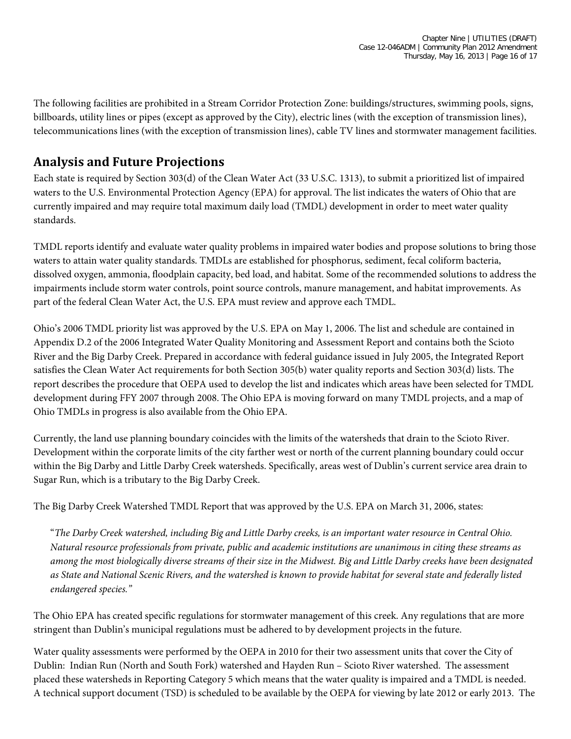The following facilities are prohibited in a Stream Corridor Protection Zone: buildings/structures, swimming pools, signs, billboards, utility lines or pipes (except as approved by the City), electric lines (with the exception of transmission lines), telecommunications lines (with the exception of transmission lines), cable TV lines and stormwater management facilities.

# **Analysis and Future Projections**

Each state is required by Section 303(d) of the Clean Water Act (33 U.S.C. 1313), to submit a prioritized list of impaired waters to the U.S. Environmental Protection Agency (EPA) for approval. The list indicates the waters of Ohio that are currently impaired and may require total maximum daily load (TMDL) development in order to meet water quality standards.

TMDL reports identify and evaluate water quality problems in impaired water bodies and propose solutions to bring those waters to attain water quality standards. TMDLs are established for phosphorus, sediment, fecal coliform bacteria, dissolved oxygen, ammonia, floodplain capacity, bed load, and habitat. Some of the recommended solutions to address the impairments include storm water controls, point source controls, manure management, and habitat improvements. As part of the federal Clean Water Act, the U.S. EPA must review and approve each TMDL.

Ohio's 2006 TMDL priority list was approved by the U.S. EPA on May 1, 2006. The list and schedule are contained in Appendix D.2 of the 2006 Integrated Water Quality Monitoring and Assessment Report and contains both the Scioto River and the Big Darby Creek. Prepared in accordance with federal guidance issued in July 2005, the Integrated Report satisfies the Clean Water Act requirements for both Section 305(b) water quality reports and Section 303(d) lists. The report describes the procedure that OEPA used to develop the list and indicates which areas have been selected for TMDL development during FFY 2007 through 2008. The Ohio EPA is moving forward on many TMDL projects, and a map of Ohio TMDLs in progress is also available from the Ohio EPA.

Currently, the land use planning boundary coincides with the limits of the watersheds that drain to the Scioto River. Development within the corporate limits of the city farther west or north of the current planning boundary could occur within the Big Darby and Little Darby Creek watersheds. Specifically, areas west of Dublin's current service area drain to Sugar Run, which is a tributary to the Big Darby Creek.

The Big Darby Creek Watershed TMDL Report that was approved by the U.S. EPA on March 31, 2006, states:

"*The Darby Creek watershed, including Big and Little Darby creeks, is an important water resource in Central Ohio. Natural resource professionals from private, public and academic institutions are unanimous in citing these streams as among the most biologically diverse streams of their size in the Midwest. Big and Little Darby creeks have been designated as State and National Scenic Rivers, and the watershed is known to provide habitat for several state and federally listed endangered species."*

The Ohio EPA has created specific regulations for stormwater management of this creek. Any regulations that are more stringent than Dublin's municipal regulations must be adhered to by development projects in the future.

Water quality assessments were performed by the OEPA in 2010 for their two assessment units that cover the City of Dublin: Indian Run (North and South Fork) watershed and Hayden Run – Scioto River watershed. The assessment placed these watersheds in Reporting Category 5 which means that the water quality is impaired and a TMDL is needed. A technical support document (TSD) is scheduled to be available by the OEPA for viewing by late 2012 or early 2013. The